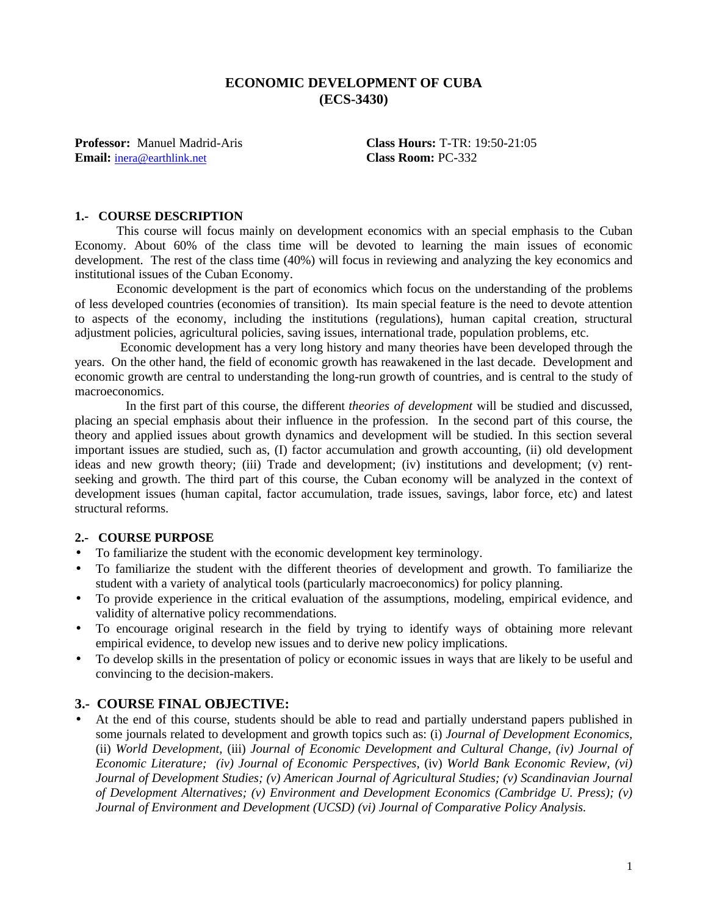### **ECONOMIC DEVELOPMENT OF CUBA (ECS-3430)**

**Email:** inera@earthlink.net **Class Room:** PC-332

**Professor:** Manuel Madrid-Aris **Class Hours:** T-TR: 19:50-21:05

#### **1.- COURSE DESCRIPTION**

This course will focus mainly on development economics with an special emphasis to the Cuban Economy. About 60% of the class time will be devoted to learning the main issues of economic development. The rest of the class time (40%) will focus in reviewing and analyzing the key economics and institutional issues of the Cuban Economy.

Economic development is the part of economics which focus on the understanding of the problems of less developed countries (economies of transition). Its main special feature is the need to devote attention to aspects of the economy, including the institutions (regulations), human capital creation, structural adjustment policies, agricultural policies, saving issues, international trade, population problems, etc.

 Economic development has a very long history and many theories have been developed through the years. On the other hand, the field of economic growth has reawakened in the last decade. Development and economic growth are central to understanding the long-run growth of countries, and is central to the study of macroeconomics.

 In the first part of this course, the different *theories of development* will be studied and discussed, placing an special emphasis about their influence in the profession. In the second part of this course, the theory and applied issues about growth dynamics and development will be studied. In this section several important issues are studied, such as, (I) factor accumulation and growth accounting, (ii) old development ideas and new growth theory; (iii) Trade and development; (iv) institutions and development; (v) rentseeking and growth. The third part of this course, the Cuban economy will be analyzed in the context of development issues (human capital, factor accumulation, trade issues, savings, labor force, etc) and latest structural reforms.

#### **2.- COURSE PURPOSE**

- To familiarize the student with the economic development key terminology.
- To familiarize the student with the different theories of development and growth. To familiarize the student with a variety of analytical tools (particularly macroeconomics) for policy planning.
- To provide experience in the critical evaluation of the assumptions, modeling, empirical evidence, and validity of alternative policy recommendations.
- To encourage original research in the field by trying to identify ways of obtaining more relevant empirical evidence, to develop new issues and to derive new policy implications.
- To develop skills in the presentation of policy or economic issues in ways that are likely to be useful and convincing to the decision-makers.

#### **3.- COURSE FINAL OBJECTIVE:**

• At the end of this course, students should be able to read and partially understand papers published in some journals related to development and growth topics such as: (i) *Journal of Development Economics,* (ii) *World Development,* (iii) *Journal of Economic Development and Cultural Change, (iv) Journal of Economic Literature; (iv) Journal of Economic Perspectives,* (iv) *World Bank Economic Review, (vi) Journal of Development Studies; (v) American Journal of Agricultural Studies; (v) Scandinavian Journal of Development Alternatives; (v) Environment and Development Economics (Cambridge U. Press); (v) Journal of Environment and Development (UCSD) (vi) Journal of Comparative Policy Analysis.*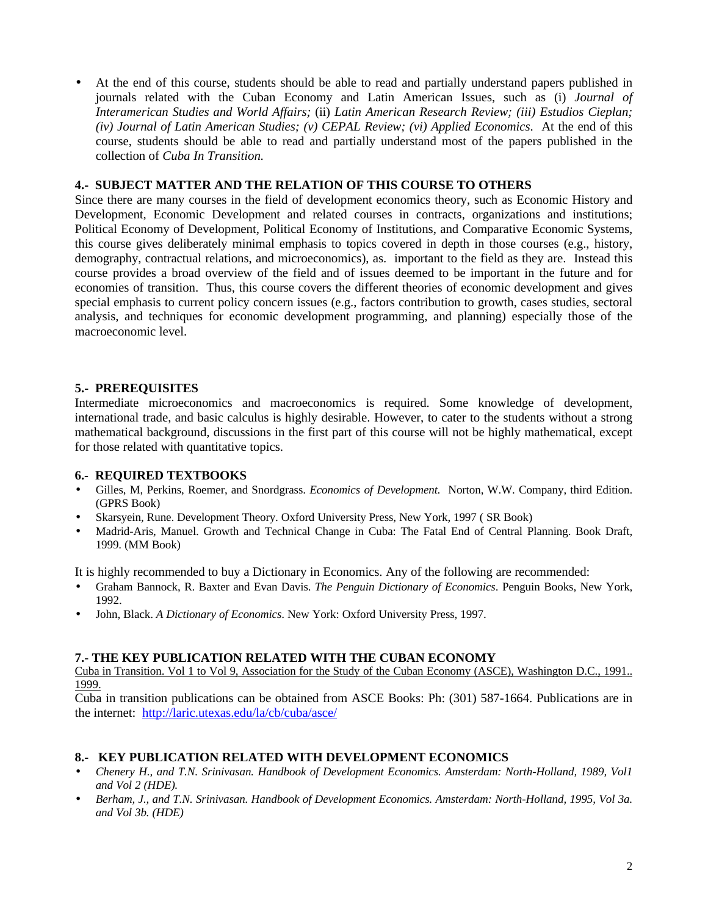• At the end of this course, students should be able to read and partially understand papers published in journals related with the Cuban Economy and Latin American Issues, such as (i) *Journal of Interamerican Studies and World Affairs;* (ii) *Latin American Research Review; (iii) Estudios Cieplan; (iv) Journal of Latin American Studies; (v) CEPAL Review; (vi) Applied Economics*. At the end of this course, students should be able to read and partially understand most of the papers published in the collection of *Cuba In Transition.*

### **4.- SUBJECT MATTER AND THE RELATION OF THIS COURSE TO OTHERS**

Since there are many courses in the field of development economics theory, such as Economic History and Development, Economic Development and related courses in contracts, organizations and institutions; Political Economy of Development, Political Economy of Institutions, and Comparative Economic Systems, this course gives deliberately minimal emphasis to topics covered in depth in those courses (e.g., history, demography, contractual relations, and microeconomics), as. important to the field as they are. Instead this course provides a broad overview of the field and of issues deemed to be important in the future and for economies of transition. Thus, this course covers the different theories of economic development and gives special emphasis to current policy concern issues (e.g., factors contribution to growth, cases studies, sectoral analysis, and techniques for economic development programming, and planning) especially those of the macroeconomic level.

#### **5.- PREREQUISITES**

Intermediate microeconomics and macroeconomics is required. Some knowledge of development, international trade, and basic calculus is highly desirable. However, to cater to the students without a strong mathematical background, discussions in the first part of this course will not be highly mathematical, except for those related with quantitative topics.

#### **6.- REQUIRED TEXTBOOKS**

- Gilles, M, Perkins, Roemer, and Snordgrass. *Economics of Development.* Norton, W.W. Company, third Edition. (GPRS Book)
- Skarsyein, Rune. Development Theory. Oxford University Press, New York, 1997 ( SR Book)
- Madrid-Aris, Manuel. Growth and Technical Change in Cuba: The Fatal End of Central Planning. Book Draft, 1999. (MM Book)

It is highly recommended to buy a Dictionary in Economics. Any of the following are recommended:

- Graham Bannock, R. Baxter and Evan Davis. *The Penguin Dictionary of Economics*. Penguin Books, New York, 1992.
- John, Black. *A Dictionary of Economics*. New York: Oxford University Press, 1997.

#### **7.- THE KEY PUBLICATION RELATED WITH THE CUBAN ECONOMY**

Cuba in Transition. Vol 1 to Vol 9, Association for the Study of the Cuban Economy (ASCE), Washington D.C., 1991.. 1999.

Cuba in transition publications can be obtained from ASCE Books: Ph: (301) 587-1664. Publications are in the internet: http://laric.utexas.edu/la/cb/cuba/asce/

#### **8.- KEY PUBLICATION RELATED WITH DEVELOPMENT ECONOMICS**

- *Chenery H., and T.N. Srinivasan. Handbook of Development Economics. Amsterdam: North-Holland, 1989, Vol1 and Vol 2 (HDE).*
- *Berham, J., and T.N. Srinivasan. Handbook of Development Economics. Amsterdam: North-Holland, 1995, Vol 3a. and Vol 3b. (HDE)*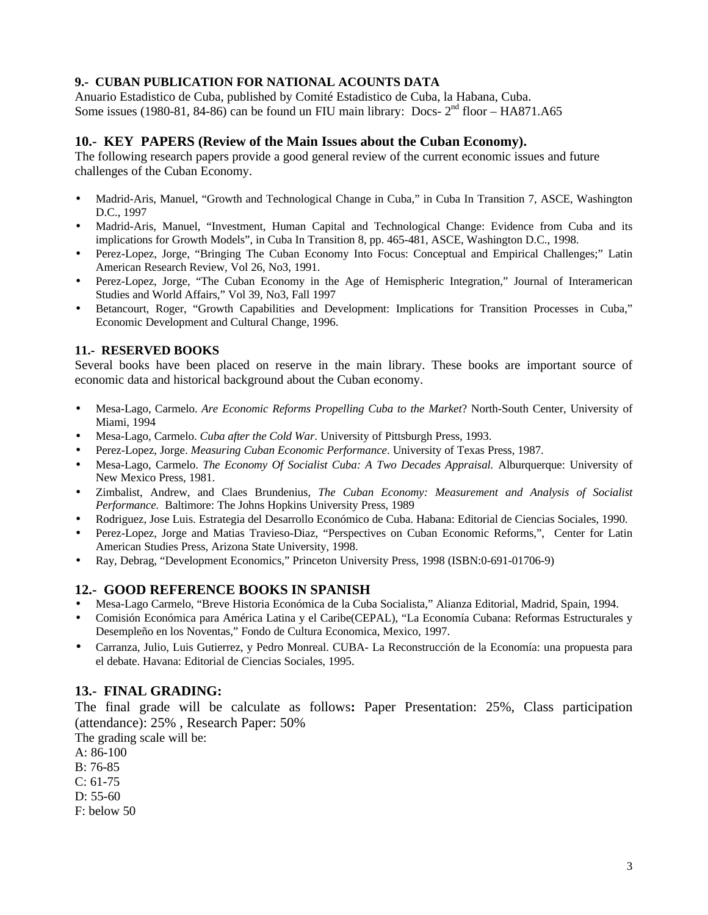### **9.- CUBAN PUBLICATION FOR NATIONAL ACOUNTS DATA**

Anuario Estadistico de Cuba, published by Comité Estadistico de Cuba, la Habana, Cuba. Some issues (1980-81, 84-86) can be found un FIU main library: Docs-  $2<sup>nd</sup>$  floor – HA871.A65

### **10.- KEY PAPERS (Review of the Main Issues about the Cuban Economy).**

The following research papers provide a good general review of the current economic issues and future challenges of the Cuban Economy.

- Madrid-Aris, Manuel, "Growth and Technological Change in Cuba," in Cuba In Transition 7, ASCE, Washington D.C., 1997
- Madrid-Aris, Manuel, "Investment, Human Capital and Technological Change: Evidence from Cuba and its implications for Growth Models", in Cuba In Transition 8, pp. 465-481, ASCE, Washington D.C., 1998.
- Perez-Lopez, Jorge, "Bringing The Cuban Economy Into Focus: Conceptual and Empirical Challenges;" Latin American Research Review, Vol 26, No3, 1991.
- Perez-Lopez, Jorge, "The Cuban Economy in the Age of Hemispheric Integration," Journal of Interamerican Studies and World Affairs," Vol 39, No3, Fall 1997
- Betancourt, Roger, "Growth Capabilities and Development: Implications for Transition Processes in Cuba," Economic Development and Cultural Change, 1996.

#### **11.- RESERVED BOOKS**

Several books have been placed on reserve in the main library. These books are important source of economic data and historical background about the Cuban economy.

- Mesa-Lago, Carmelo. *Are Economic Reforms Propelling Cuba to the Market*? North-South Center, University of Miami, 1994
- Mesa-Lago, Carmelo. *Cuba after the Cold War*. University of Pittsburgh Press, 1993.
- Perez-Lopez, Jorge. *Measuring Cuban Economic Performance*. University of Texas Press, 1987.
- Mesa-Lago, Carmelo. *The Economy Of Socialist Cuba: A Two Decades Appraisal.* Alburquerque: University of New Mexico Press, 1981.
- Zimbalist, Andrew, and Claes Brundenius, *The Cuban Economy: Measurement and Analysis of Socialist Performance.* Baltimore: The Johns Hopkins University Press, 1989
- Rodriguez, Jose Luis. Estrategia del Desarrollo Económico de Cuba. Habana: Editorial de Ciencias Sociales, 1990.
- Perez-Lopez, Jorge and Matias Travieso-Diaz, "Perspectives on Cuban Economic Reforms,", Center for Latin American Studies Press, Arizona State University, 1998.
- Ray, Debrag, "Development Economics," Princeton University Press, 1998 (ISBN:0-691-01706-9)

### **12.- GOOD REFERENCE BOOKS IN SPANISH**

- Mesa-Lago Carmelo, "Breve Historia Económica de la Cuba Socialista," Alianza Editorial, Madrid, Spain, 1994.
- Comisión Económica para América Latina y el Caribe(CEPAL), "La Economía Cubana: Reformas Estructurales y Desempleño en los Noventas," Fondo de Cultura Economica, Mexico, 1997.
- Carranza, Julio, Luis Gutierrez, y Pedro Monreal. CUBA- La Reconstrucción de la Economía: una propuesta para el debate. Havana: Editorial de Ciencias Sociales, 1995.

### **13.- FINAL GRADING:**

The final grade will be calculate as follows**:** Paper Presentation: 25%, Class participation (attendance): 25% , Research Paper: 50%

The grading scale will be:

A: 86-100

B: 76-85

C: 61-75

D: 55-60

F: below 50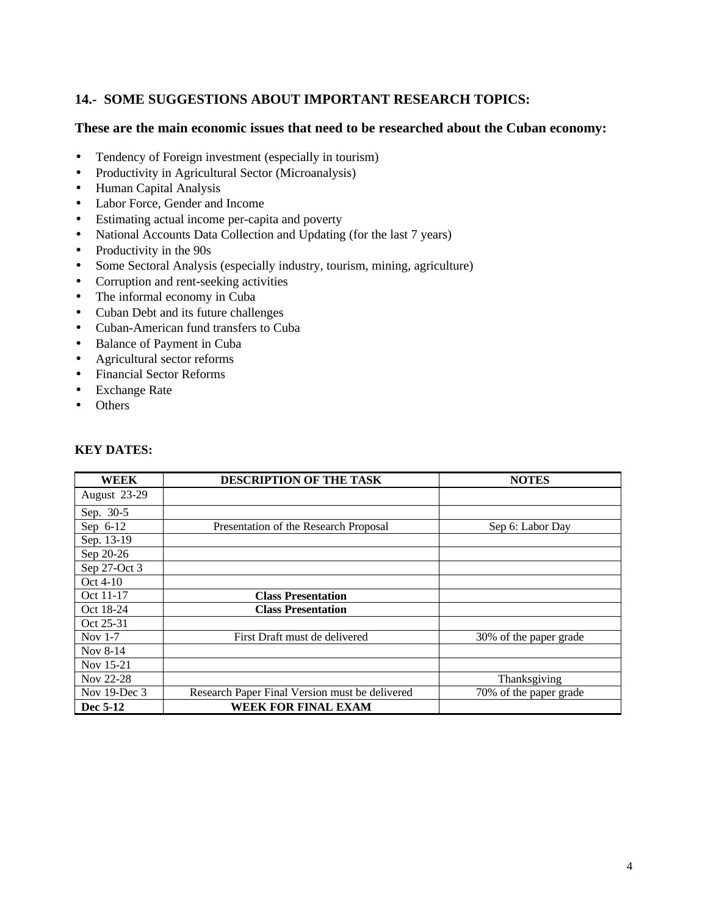# **14.- SOME SUGGESTIONS ABOUT IMPORTANT RESEARCH TOPICS:**

#### **These are the main economic issues that need to be researched about the Cuban economy:**

- Tendency of Foreign investment (especially in tourism)
- Productivity in Agricultural Sector (Microanalysis)
- Human Capital Analysis
- Labor Force, Gender and Income
- Estimating actual income per-capita and poverty
- National Accounts Data Collection and Updating (for the last 7 years)
- Productivity in the 90s
- Some Sectoral Analysis (especially industry, tourism, mining, agriculture)
- Corruption and rent-seeking activities
- The informal economy in Cuba
- Cuban Debt and its future challenges
- Cuban-American fund transfers to Cuba
- Balance of Payment in Cuba
- Agricultural sector reforms
- Financial Sector Reforms
- Exchange Rate
- Others

| <b>WEEK</b>  | DESCRIPTION OF THE TASK                        | <b>NOTES</b>           |
|--------------|------------------------------------------------|------------------------|
| August 23-29 |                                                |                        |
| Sep. 30-5    |                                                |                        |
| Sep $6-12$   | Presentation of the Research Proposal          | Sep 6: Labor Day       |
| Sep. 13-19   |                                                |                        |
| Sep 20-26    |                                                |                        |
| Sep 27-Oct 3 |                                                |                        |
| Oct $4-10$   |                                                |                        |
| Oct 11-17    | <b>Class Presentation</b>                      |                        |
| Oct 18-24    | <b>Class Presentation</b>                      |                        |
| Oct 25-31    |                                                |                        |
| Nov $1-7$    | First Draft must de delivered                  | 30% of the paper grade |
| Nov 8-14     |                                                |                        |
| Nov 15-21    |                                                |                        |
| Nov 22-28    |                                                | Thanksgiving           |
| Nov 19-Dec 3 | Research Paper Final Version must be delivered | 70% of the paper grade |
| Dec 5-12     | <b>WEEK FOR FINAL EXAM</b>                     |                        |

#### **KEY DATES:**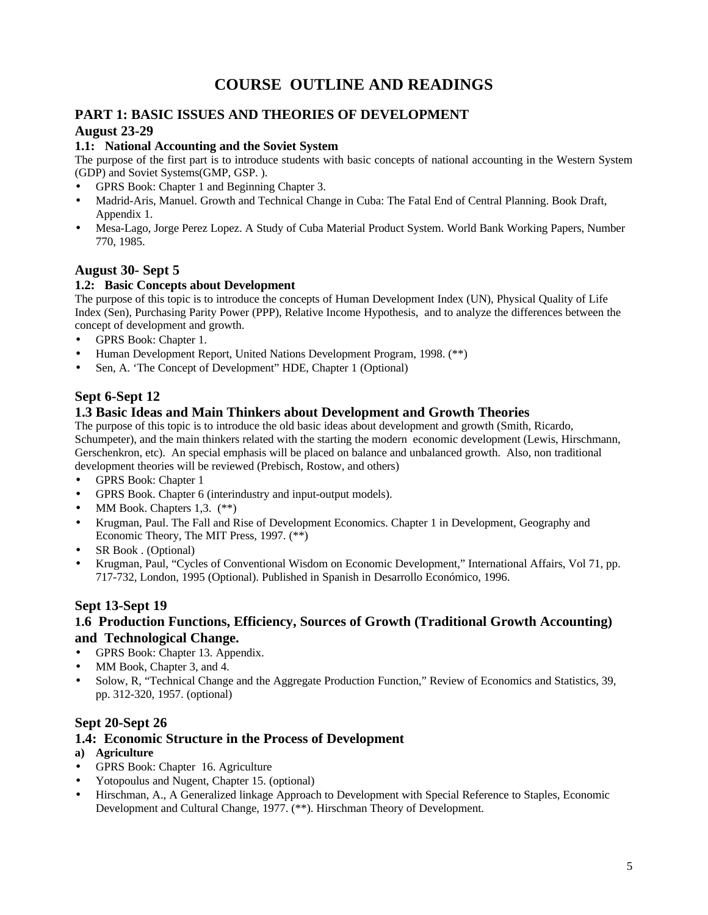# **COURSE OUTLINE AND READINGS**

### **PART 1: BASIC ISSUES AND THEORIES OF DEVELOPMENT August 23-29**

#### **1.1: National Accounting and the Soviet System**

The purpose of the first part is to introduce students with basic concepts of national accounting in the Western System (GDP) and Soviet Systems(GMP, GSP. ).

- GPRS Book: Chapter 1 and Beginning Chapter 3.
- Madrid-Aris, Manuel. Growth and Technical Change in Cuba: The Fatal End of Central Planning. Book Draft, Appendix 1.
- Mesa-Lago, Jorge Perez Lopez. A Study of Cuba Material Product System. World Bank Working Papers, Number 770, 1985.

### **August 30- Sept 5**

#### **1.2: Basic Concepts about Development**

The purpose of this topic is to introduce the concepts of Human Development Index (UN), Physical Quality of Life Index (Sen), Purchasing Parity Power (PPP), Relative Income Hypothesis, and to analyze the differences between the concept of development and growth.

- GPRS Book: Chapter 1.
- Human Development Report, United Nations Development Program, 1998. (\*\*)
- Sen, A. 'The Concept of Development" HDE, Chapter 1 (Optional)

# **Sept 6-Sept 12**

# **1.3 Basic Ideas and Main Thinkers about Development and Growth Theories**

The purpose of this topic is to introduce the old basic ideas about development and growth (Smith, Ricardo, Schumpeter), and the main thinkers related with the starting the modern economic development (Lewis, Hirschmann, Gerschenkron, etc). An special emphasis will be placed on balance and unbalanced growth. Also, non traditional development theories will be reviewed (Prebisch, Rostow, and others)

- GPRS Book: Chapter 1
- GPRS Book. Chapter 6 (interindustry and input-output models).
- MM Book. Chapters 1,3.  $(**)$
- Krugman, Paul. The Fall and Rise of Development Economics. Chapter 1 in Development, Geography and Economic Theory, The MIT Press, 1997. (\*\*)
- SR Book . (Optional)
- Krugman, Paul, "Cycles of Conventional Wisdom on Economic Development," International Affairs, Vol 71, pp. 717-732, London, 1995 (Optional). Published in Spanish in Desarrollo Económico, 1996.

### **Sept 13-Sept 19**

#### **1.6 Production Functions, Efficiency, Sources of Growth (Traditional Growth Accounting) and Technological Change.**

- GPRS Book: Chapter 13. Appendix.
- MM Book, Chapter 3, and 4.
- Solow, R, "Technical Change and the Aggregate Production Function," Review of Economics and Statistics, 39, pp. 312-320, 1957. (optional)

### **Sept 20-Sept 26**

### **1.4: Economic Structure in the Process of Development**

- **a) Agriculture**
- GPRS Book: Chapter 16. Agriculture
- Yotopoulus and Nugent, Chapter 15. (optional)
- Hirschman, A., A Generalized linkage Approach to Development with Special Reference to Staples, Economic Development and Cultural Change, 1977. (\*\*). Hirschman Theory of Development.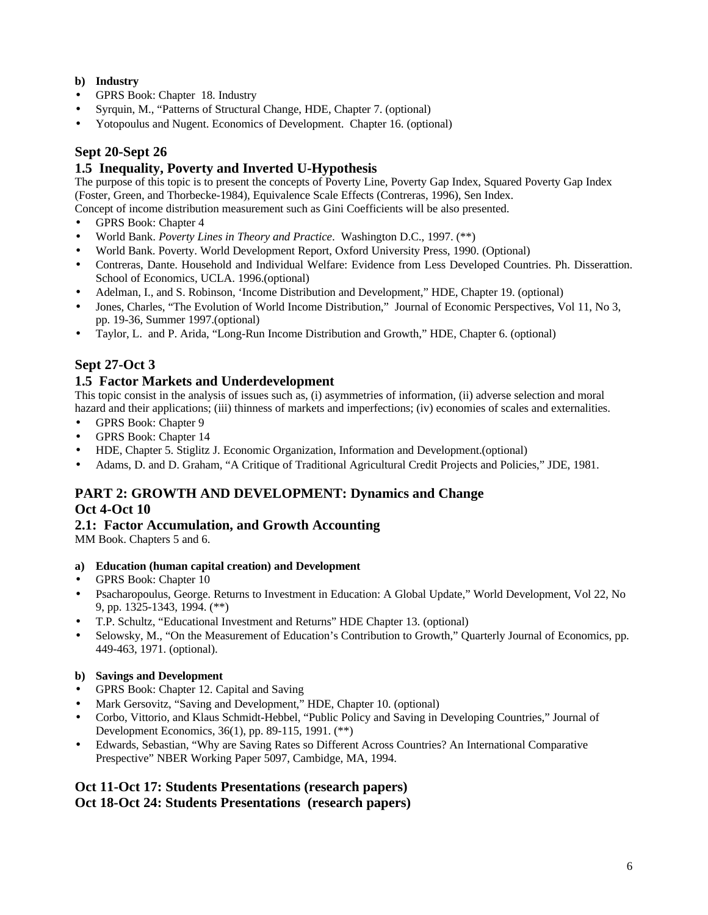#### **b) Industry**

- GPRS Book: Chapter 18. Industry
- Syrquin, M., "Patterns of Structural Change, HDE, Chapter 7. (optional)
- Yotopoulus and Nugent. Economics of Development. Chapter 16. (optional)

# **Sept 20-Sept 26**

### **1.5 Inequality, Poverty and Inverted U-Hypothesis**

The purpose of this topic is to present the concepts of Poverty Line, Poverty Gap Index, Squared Poverty Gap Index (Foster, Green, and Thorbecke-1984), Equivalence Scale Effects (Contreras, 1996), Sen Index.

Concept of income distribution measurement such as Gini Coefficients will be also presented.

- GPRS Book: Chapter 4
- World Bank. *Poverty Lines in Theory and Practice*. Washington D.C., 1997. (\*\*)
- World Bank. Poverty. World Development Report, Oxford University Press, 1990. (Optional)
- Contreras, Dante. Household and Individual Welfare: Evidence from Less Developed Countries. Ph. Disserattion. School of Economics, UCLA. 1996.(optional)
- Adelman, I., and S. Robinson, 'Income Distribution and Development," HDE, Chapter 19. (optional)
- Jones, Charles, "The Evolution of World Income Distribution," Journal of Economic Perspectives, Vol 11, No 3, pp. 19-36, Summer 1997.(optional)
- Taylor, L. and P. Arida, "Long-Run Income Distribution and Growth," HDE, Chapter 6. (optional)

### **Sept 27-Oct 3**

#### **1.5 Factor Markets and Underdevelopment**

This topic consist in the analysis of issues such as, (i) asymmetries of information, (ii) adverse selection and moral hazard and their applications; (iii) thinness of markets and imperfections; (iv) economies of scales and externalities.

- GPRS Book: Chapter 9
- GPRS Book: Chapter 14
- HDE, Chapter 5. Stiglitz J. Economic Organization, Information and Development.(optional)
- Adams, D. and D. Graham, "A Critique of Traditional Agricultural Credit Projects and Policies," JDE, 1981.

#### **PART 2: GROWTH AND DEVELOPMENT: Dynamics and Change Oct 4-Oct 10**

#### **2.1: Factor Accumulation, and Growth Accounting**

MM Book. Chapters 5 and 6.

- **a) Education (human capital creation) and Development**
- GPRS Book: Chapter 10
- Psacharopoulus, George. Returns to Investment in Education: A Global Update," World Development, Vol 22, No 9, pp. 1325-1343, 1994. (\*\*)
- T.P. Schultz, "Educational Investment and Returns" HDE Chapter 13. (optional)
- Selowsky, M., "On the Measurement of Education's Contribution to Growth," Quarterly Journal of Economics, pp. 449-463, 1971. (optional).

#### **b) Savings and Development**

- GPRS Book: Chapter 12. Capital and Saving
- Mark Gersovitz, "Saving and Development," HDE, Chapter 10. (optional)
- Corbo, Vittorio, and Klaus Schmidt-Hebbel, "Public Policy and Saving in Developing Countries," Journal of Development Economics, 36(1), pp. 89-115, 1991. (\*\*)
- Edwards, Sebastian, "Why are Saving Rates so Different Across Countries? An International Comparative Prespective" NBER Working Paper 5097, Cambidge, MA, 1994.

### **Oct 11-Oct 17: Students Presentations (research papers) Oct 18-Oct 24: Students Presentations (research papers)**